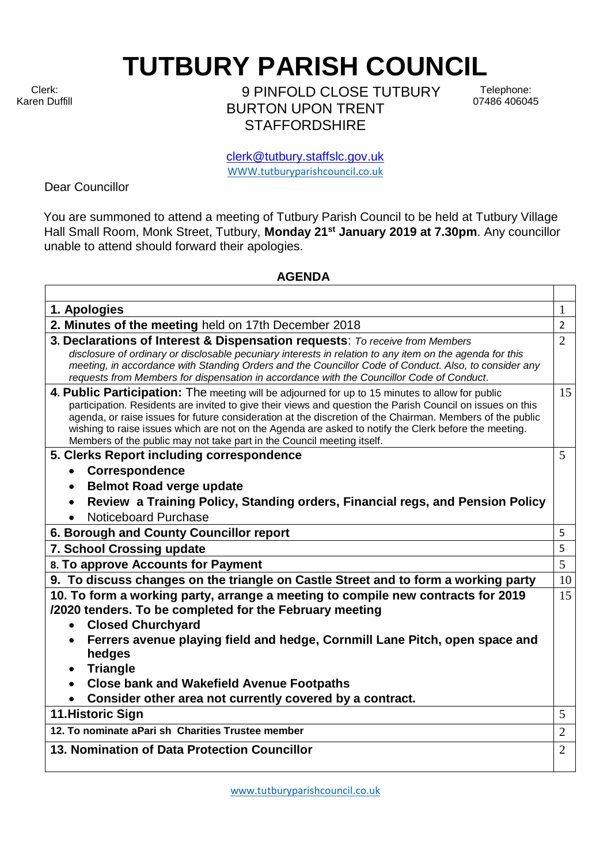Clerk: Karen Duffill **TUTBURY PARISH COUNCIL** 

9 PINFOLD CLOSE TUTBURY BURTON UPON TRENT **STAFFORDSHIRE** 

Telephone: 07486 406045

clerk@tutbury.staffslc.gov.uk [WWW.tutburyparishcouncil.co.uk](http://www.tutburyparishcouncil.co.uk/)

Dear Councillor

You are summoned to attend a meeting of Tutbury Parish Council to be held at Tutbury Village Hall Small Room, Monk Street, Tutbury, **Monday 21st January 2019 at 7.30pm**. Any councillor unable to attend should forward their apologies.

## **AGENDA**

| 1. Apologies                                                                                                                                                                                                                                                                                                                                                                                                                                                                                                  | 1              |
|---------------------------------------------------------------------------------------------------------------------------------------------------------------------------------------------------------------------------------------------------------------------------------------------------------------------------------------------------------------------------------------------------------------------------------------------------------------------------------------------------------------|----------------|
| 2. Minutes of the meeting held on 17th December 2018                                                                                                                                                                                                                                                                                                                                                                                                                                                          | $\overline{2}$ |
| 3. Declarations of Interest & Dispensation requests: To receive from Members<br>disclosure of ordinary or disclosable pecuniary interests in relation to any item on the agenda for this<br>meeting, in accordance with Standing Orders and the Councillor Code of Conduct. Also, to consider any<br>requests from Members for dispensation in accordance with the Councillor Code of Conduct.                                                                                                                | $\overline{2}$ |
| 4. Public Participation: The meeting will be adjourned for up to 15 minutes to allow for public<br>participation. Residents are invited to give their views and question the Parish Council on issues on this<br>agenda, or raise issues for future consideration at the discretion of the Chairman. Members of the public<br>wishing to raise issues which are not on the Agenda are asked to notify the Clerk before the meeting.<br>Members of the public may not take part in the Council meeting itself. | 15             |
| 5. Clerks Report including correspondence                                                                                                                                                                                                                                                                                                                                                                                                                                                                     | 5              |
| <b>Correspondence</b><br>$\bullet$                                                                                                                                                                                                                                                                                                                                                                                                                                                                            |                |
| <b>Belmot Road verge update</b><br>$\bullet$                                                                                                                                                                                                                                                                                                                                                                                                                                                                  |                |
| Review a Training Policy, Standing orders, Financial regs, and Pension Policy                                                                                                                                                                                                                                                                                                                                                                                                                                 |                |
| Noticeboard Purchase                                                                                                                                                                                                                                                                                                                                                                                                                                                                                          |                |
| 6. Borough and County Councillor report                                                                                                                                                                                                                                                                                                                                                                                                                                                                       | 5              |
| 7. School Crossing update                                                                                                                                                                                                                                                                                                                                                                                                                                                                                     | 5              |
| 8. To approve Accounts for Payment                                                                                                                                                                                                                                                                                                                                                                                                                                                                            | 5              |
| 9. To discuss changes on the triangle on Castle Street and to form a working party                                                                                                                                                                                                                                                                                                                                                                                                                            | 10             |
| 10. To form a working party, arrange a meeting to compile new contracts for 2019<br>/2020 tenders. To be completed for the February meeting<br><b>Closed Churchyard</b><br>$\bullet$<br>Ferrers avenue playing field and hedge, Cornmill Lane Pitch, open space and<br>hedges<br><b>Triangle</b><br><b>Close bank and Wakefield Avenue Footpaths</b>                                                                                                                                                          | 15             |
| Consider other area not currently covered by a contract.                                                                                                                                                                                                                                                                                                                                                                                                                                                      |                |
| 11. Historic Sign                                                                                                                                                                                                                                                                                                                                                                                                                                                                                             | 5              |
| 12. To nominate aPari sh Charities Trustee member                                                                                                                                                                                                                                                                                                                                                                                                                                                             | $\overline{2}$ |
| 13. Nomination of Data Protection Councillor                                                                                                                                                                                                                                                                                                                                                                                                                                                                  | $\overline{2}$ |